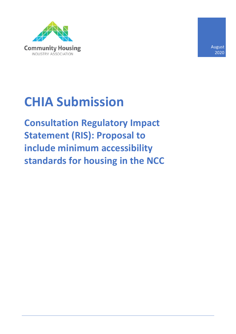

August 2020

# **CHIA Submission**

**Consultation Regulatory Impact Statement (RIS): Proposal to include minimum accessibility standards for housing in the NCC**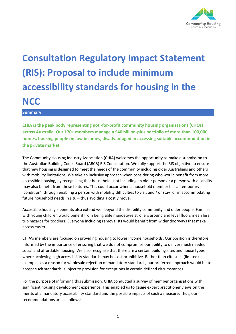

## **Consultation Regulatory Impact Statement (RIS): Proposal to include minimum accessibility standards for housing in the NCC**

#### **Summary**

**CHIA is the peak body representing not -for-profit community housing organisations (CHOs) across Australia. Our 170+ members manage a \$40 billion-plus portfolio of more than 100,000 homes, housing people on low incomes, disadvantaged in accessing suitable accommodation in the private market.** 

The Community Housing Industry Association (CHIA) welcomes the opportunity to make a submission to the Australian Building Codes Board (ABCB) RIS Consultation. We fully support the RIS objective to ensure that new housing is designed to meet the needs of the community including older Australians and others with mobility limitations. We take an inclusive approach when considering who would benefit from more accessible housing, by recognising that households not including an older person or a person with disability may also benefit from these features. This could occur when a household member has a 'temporary 'condition'; through enabling a person with mobility difficulties to visit and / or stay; or in accommodating future household needs in situ – thus avoiding a costly move.

Accessible housing's benefits also extend well beyond the disability community and older people. Families with young children would benefit from being able manoeuvre strollers around and level floors mean less trip hazards for toddlers. Everyone including removalists would benefit from wider doorways that make access easier.

CHIA's members are focused on providing housing to lower income households. Our position is therefore informed by the importance of ensuring that we do not compromise our ability to deliver much needed social and affordable housing. We also recognise that there are a certain building sites and house types where achieving high accessibility standards may be cost prohibitive. Rather than cite such (limited) examples as a reason for wholesale rejection of mandatory standards, our preferred approach would be to accept such standards, subject to provision for exceptions in certain defined circumstances.

For the purpose of informing this submission, CHIA conducted a survey of member organisations with significant housing development experience. This enabled us to gauge expert practitioner views on the merits of a mandatory accessibility standard and the possible impacts of such a measure. Thus, our recommendations are as follows: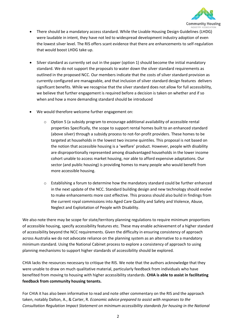

- There should be a mandatory access standard. While the Livable Housing Design Guidelines (LHDG) were laudable in intent, they have not led to widespread development industry adoption of even the lowest silver level. The RIS offers scant evidence that there are enhancements to self-regulation that would boost LHDG take up.
- Silver standard as currently set out in the paper (option 1) should become the initial mandatory standard. We do not support the proposals to water down the silver standard requirements as outlined in the proposed NCC. Our members indicate that the costs of silver standard provision as currently configured are manageable, and that inclusion of silver standard design features delivers significant benefits. While we recognise that the silver standard does not allow for full accessibility, we believe that further engagement is required before a decision is taken on whether and if so when and how a more demanding standard should be introduced
- We would therefore welcome further engagement on:
	- $\circ$  Option 5 (a subsidy program to encourage additional availability of accessible rental properties Specifically, the scope to support rental homes built to an enhanced standard (above silver) through a subsidy process to not-for-profit providers. These homes to be targeted at households in the lowest two income quintiles. This proposal is not based on the notion that accessible housing is a 'welfare' product. However, people with disability are disproportionally represented among disadvantaged households in the lower income cohort unable to access market housing, nor able to afford expensive adaptations. Our sector (and public housing) is providing homes to many people who would benefit from more accessible housing.
	- $\circ$  Establishing a forum to determine how the mandatory standard could be further enhanced in the next update of the NCC. Standard building design and new technology should evolve to make enhancements more cost effective. This process should also build in findings from the current royal commissions into Aged Care Quality and Safety and Violence, Abuse, Neglect and Exploitation of People with Disability.

We also note there may be scope for state/territory planning regulations to require minimum proportions of accessible housing, specify accessibility features etc. These may enable achievement of a higher standard of accessibility beyond the NCC requirements. Given the difficulty in ensuring consistency of approach across Australia we do not advocate reliance on the planning system as an alternative to a mandatory minimum standard. Using the National Cabinet process to explore a consistency of approach to using planning mechanisms to support higher standards of accessibility should be explored.

CHIA lacks the resources necessary to critique the RIS. We note that the authors acknowledge that they were unable to draw on much qualitative material, particularly feedback from individuals who have benefited from moving to housing with higher accessibility standards. **CHIA is able to assist in facilitating feedback from community housing tenants.**

For CHIA it has also been informative to read and note other commentary on the RIS and the approach taken, notably Dalton, A., & Carter, R. *Economic advice prepared to assist with responses to the Consultation Regulation Impact Statement on minimum accessibility standards for housing in the National*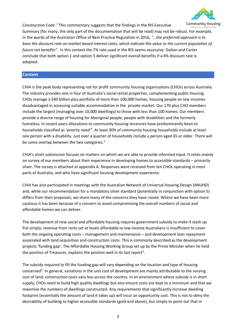

Construction Code.<sup>1</sup> This commentary suggests that the findings in the RIS Executive INDUSTRY ASSOCIATIO Summary (for many, the only part of the documentation that will be read) may not be robust. For example, In the words of the Australian Office of Best Practice Regulation in 2016, *"…the preferred approach is to base the discount rate on market-based interest rates, which indicate the value to the current population of future net benefits".* In this context the 7% rate used in the RIS seems excessive. Dalton and Carter conclude that both option 1 and option 5 deliver significant overall benefits if a 4% discount rate is adopted.

#### **Context**

CHIA is the peak body representing not for profit community housing organisations (CHOs) across Australia. The industry provides one in four of Australia's social rental properties, complementing public housing. CHOs manage a \$40 billion-plus portfolio of more than 100,000 homes, housing people on low incomes disadvantaged in accessing suitable accommodation in the private market. Our 170-plus CHO members include the largest (managing over 10,000 dwellings) to those with less than 100 homes. Our members provide a diverse range of housing for Aboriginal people, people with disabilities and the formerly homeless. In recent years allocations to community housing tenancies have predominantly been to households classified as 'priority need'<sup>2</sup>. At least 30% of community housing households include at least one person with a disability. Just over a quarter of households include a person aged 65 or older. There will be some overlap between the two categories.<sup>3</sup>

CHIA's short submission focuses on matters on which we are able to provide informed input. It relies mainly on survey of our members about their experience in developing homes to accessible standards – primarily silver. The survey is attached at appendix A. Responses were received from ten CHOs operating in most parts of Australia, and who have significant housing development experience.

CHIA has also participated in meetings with the Australian Network of Universal Housing Design (ANUHD) and, while our recommendation for a mandatory silver standard (potentially in conjunction with option 5) differs from their proposals, we share many of the concerns they have raised. Where we have been more cautious it has been because of a concern to avoid compromising the overall numbers of social and affordable homes we can deliver.

The development of new social and affordable housing requires government subsidy to make it stack up. Put simply, revenue from rents set at levels affordable to low income Australians is insufficient to cover both the ongoing operating costs – management and maintenance – and development loan repayment associated with land acquisition and construction costs. This is commonly described as the development projects 'funding gap'. The Affordable Housing Working Group set up by the Prime Minister when he held the position of Treasurer, explains the position well in its last report<sup>4</sup>.

The subsidy required to fill the funding gap will vary depending on the location and type of housing concerned<sup>5</sup>. In general, variations in the unit cost of development are mainly attributable to the varying cost of land; construction costs vary less across the country. In an environment where subsidy is in short supply, CHOs need to build high quality dwellings but also ensure costs are kept to a minimum and that we maximise the numbers of dwellings constructed. Any requirements that significantly increase dwelling footprint (essentially the amount of land it takes up) will incur an opportunity cost. This is not to deny the desirability of building to higher accessible standards (gold and above), but simply to point out that in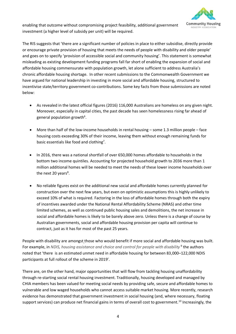

enabling that outcome without compromising project feasibility, additional government investment (a higher level of subsidy per unit) will be required.

The RIS suggests that 'there are a significant number of policies in place to either subsidise, directly provide or encourage private provision of housing that meets the needs of people with disability and older people' and goes on to specify 'provision of accessible social and community housing'. This statement is somewhat misleading as existing development funding programs fall far short of enabling the expansion of social and affordable housing commensurate with population growth, let alone sufficient to address Australia's chronic affordable housing shortage. In other recent submissions to the Commonwealth Government we have argued for national leadership in investing in more social and affordable housing, structured to incentivise state/territory government co-contributions. Some key facts from those submissions are noted below:

- As revealed in the latest official figures (2016) 116,000 Australians are homeless on any given night. Moreover, especially in capital cities, the past decade has seen homelessness rising far ahead of general population growth<sup>6</sup>.
- More than half of the low-income households in rental housing some 1.3 million people face housing costs exceeding 30% of their income, leaving them without enough remaining funds for basic essentials like food and clothing<sup>7</sup>.
- In 2016, there was a national shortfall of over 650,000 homes affordable to households in the bottom two income quintiles. Accounting for projected household growth to 2036 more than 1 million additional homes will be needed to meet the needs of these lower income households over the next 20 years<sup>8</sup>.
- No reliable figures exist on the additional new social and affordable homes currently planned for construction over the next few years, but even on optimistic assumptions this is highly unlikely to exceed 10% of what is required. Factoring in the loss of affordable homes through both the expiry of incentives awarded under the National Rental Affordability Scheme (NRAS) and other time limited schemes, as well as continued public housing sales and demolitions, the net increase in social and affordable homes is likely to be barely above zero. Unless there is a change of course by Australian governments, social and affordable housing provision per capita will continue to contract, just as it has for most of the past 25 years.

People with disability are amongst those who would benefit if more social and affordable housing was built. For example, in *NDIS, housing assistance and choice and control for people with disability*<sup>9</sup> the authors noted that 'there is an estimated unmet need in affordable housing for between 83,000–122,000 NDIS participants at full rollout of the scheme in 2019'.

There are, on the other hand, major opportunities that will flow from tackling housing unaffordability through re-starting social rental housing investment. Traditionally, housing developed and managed by CHIA members has been valued for meeting social needs by providing safe, secure and affordable homes to vulnerable and low waged households who cannot access suitable market housing. More recently, research evidence has demonstrated that government investment in social housing (and, where necessary, floating support services) can produce net financial gains in terms of overall cost to government.<sup>10</sup> Increasingly, the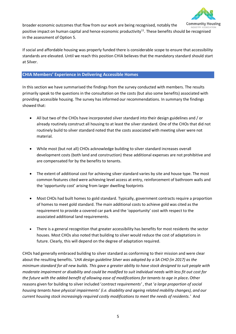

**Community Housing** broader economic outcomes that flow from our work are being recognised, notably the **INDUSTRY ASSOCIAT** positive impact on human capital and hence economic productivity<sup>11</sup>. These benefits should be recognised in the assessment of Option 5.

If social and affordable housing was properly funded there is considerable scope to ensure that accessibility standards are elevated. Until we reach this position CHIA believes that the mandatory standard should start at Silver.

### **CHIA Members' Experience in Delivering Accessible Homes**

In this section we have summarised the findings from the survey conducted with members. The results primarily speak to the questions in the consultation on the costs (but also some benefits) associated with providing accessible housing. The survey has informed our recommendations. In summary the findings showed that:

- All but two of the CHOs have incorporated silver standard into their design guidelines and / or already routinely construct all housing to at least the silver standard. One of the CHOs that did not routinely build to silver standard noted that the costs associated with meeting silver were not material.
- While most (but not all) CHOs acknowledge building to silver standard increases overall development costs (both land and construction) these additional expenses are not prohibitive and are compensated for by the benefits to tenants.
- The extent of additional cost for achieving silver standard varies by site and house type. The most common features cited were achieving level access at entry, reinforcement of bathroom walls and the 'opportunity cost' arising from larger dwelling footprints
- Most CHOs had built homes to gold standard. Typically, government contracts require a proportion of homes to meet gold standard. The main additional costs to achieve gold was cited as the requirement to provide a covered car park and the 'opportunity' cost with respect to the associated additional land requirements.
- There is a general recognition that greater accessibility has benefits for most residents the sector houses. Most CHOs also noted that building to silver would reduce the cost of adaptations in future. Clearly, this will depend on the degree of adaptation required.

CHOs had generally embraced building to silver standard as conforming to their mission and were clear about the resulting benefits. '*LHA design guideline Silver was adopted by a SA CHO (in 2017) as the minimum standard for all new builds. This gave a greater ability to have stock designed to suit people with moderate impairment or disability and could be modified to suit individual needs with less fit out cost for the future with the added benefit of allowing ease of modifications for tenants to age in place***.** Other reasons given for building to silver included '*contract requirements'* , that '*a large proportion of social housing tenants have physical impairments' (i.e. disability and ageing related mobility changes), and our current housing stock increasingly required costly modifications to meet the needs of residents.'* And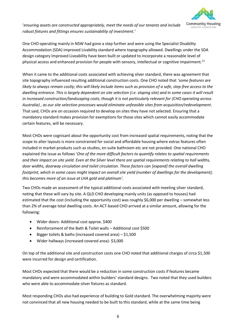

'*ensuring assets are constructed appropriately, meet the needs of our tenants and include robust fixtures and fittings ensures sustainability of investment.'*

One CHO operating mainly in NSW had gone a step further and were using the Specialist Disability Accommodation (SDA) improved Livability standard where topography allowed. Dwellings under the SDA design category Improved Liveability have been built or updated to incorporate a reasonable level of physical access and enhanced provision for people with sensory, intellectual or cognitive impairment.<sup>12</sup>

When it came to the additional costs associated with achieving silver standard, there was agreement that site topography influenced resulting additional construction costs. One CHO noted that *'some features are likely to always remain costly; this will likely include items such as provision of a safe, step-free access to the dwelling entrance. This is largely dependent on site selection (i.e. sloping site) and in some cases it will result in increased construction/landscaping costs; though it is not particularly relevant for (CHO operating across Australia) , as our site selection processes would eliminate unfeasible sites from acquisition/redevelopment*. That said, CHOs are on occasion required to develop on sites they have not selected. Ensuring that a mandatory standard makes provision for exemptions for those sites which cannot easily accommodate certain features, will be necessary.

Most CHOs were cognisant about the opportunity cost from increased spatial requirements, noting that the scope to alter layouts is more constrained for social and affordable housing where extras features often included in market products such as studies, en suite bathroom etc are not provided. One national CHO explained the issue as follows '*One of the more difficult factors to quantify relates to spatial requirements and their impact on site yield. Even at the Silver level there are spatial requirements relating to hall widths, door widths, doorway circulation and toilet circulation. These factors can [expand] the overall dwelling footprint, which in some cases might impact on overall site yield (number of dwellings for the development); this becomes more of an issue at LHA gold and platinum'.*

Two CHOs made an assessment of the typical additional costs associated with meeting silver standard, noting that these will vary by site. A QLD CHO developing mainly units (as opposed to houses) had estimated that the cost (including the opportunity cost) was roughly \$6,000 per dwelling – somewhat less than 2% of average total dwelling costs. An ACT-based CHO arrived at a similar amount, allowing for the following:

- Wider doors- Additional cost approx. \$400
- Reinforcement of the Bath & Toilet walls Additional cost \$500
- Bigger toilets & baths (increased covered area)  $-$  \$1,500
- Wider hallways (increased covered area)- \$3,000

On top of the additional site and construction costs one CHO noted that additional charges of circa \$1,500 were incurred for design and certification.

Most CHOs expected that there would be a reduction in some construction costs if features became mandatory and were accommodated within builders' standard designs. Two noted that they used builders who were able to accommodate silver fixtures as standard.

Most responding CHOs also had experience of building to Gold standard. The overwhelming majority were not convinced that all new housing needed to be built to this standard, while at the same time being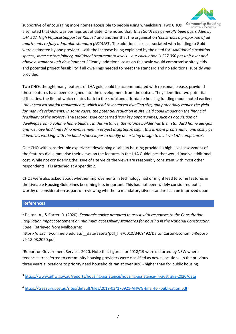

**Community Housing** supportive of encouraging more homes accessible to people using wheelchairs. Two CHOs also noted that Gold was perhaps out of date. One noted that '*this (Gold) has generally been overridden by LHA SDA High Physical Support or Robust'* and another that the organisation '*constructs a proportion of all apartments to fully adaptable standard (AS1428)'.* The additional costs associated with building to Gold were estimated by one provider - with the increase being explained by the need for '*Additional circulation spaces, some custom joinery, additional treatment to levels – our calculation is \$27 000 per unit over and above a standard unit development.'* Clearly, additional costs on this scale would compromise site yields and potential project feasibility if all dwellings needed to meet the standard and no additional subsidy was provided.

Two CHOs thought many features of LHA gold could be accommodated with reasonable ease, provided those features have been designed into the development from the outset. They identified two potential difficulties, the first of which relates back to the social and affordable housing funding model noted earlier: '*the increased spatial requirements, which lead to increased dwelling size, and potentially reduce the yield for many developments. In some cases, the potential reduction in site yield could impact on the financial feasibility of the project'*. The second issue concerned '*turnkey opportunities, such as acquisition of dwellings from a volume home builder. In this instance, the volume builder has their standard home designs and we have had limited/no involvement in project inception/design; this is more problematic, and costly as it involves working with the builder/developer to modify an existing design to achieve LHA compliance'*.

One CHO with considerable experience developing disability housing provided a high level assessment of the features did summarise their views on the features in the LHA Guidelines that would involve additional cost. While not considering the issue of site yields the views are reasonably consistent with most other respondents. It is attached at Appendix 2.

CHOs were also asked about whether improvements in technology had or might lead to some features in the Liveable Housing Guidelines becoming less important. This had not been widely considered but is worthy of consideration as part of reviewing whether a mandatory silver standard can be improved upon.

#### **References**

<sup>1</sup> Dalton, A., & Carter, R. (2020). *Economic advice prepared to assist with responses to the Consultation Regulation Impact Statement on minimum accessibility standards for housing in the National Construction Code*. Retrieved from Melbourne:

https://disability.unimelb.edu.au/ data/assets/pdf file/0010/3469492/DaltonCarter-Economic-Report[v9-18.08.2020.pdf](https://disability.unimelb.edu.au/__data/assets/pdf_file/0010/3469492/DaltonCarter-Economic-Report-v9-18.08.2020.pdf)

<sup>2</sup>Report on Government Services 2020. Note that figures for 2018/19 were distorted by NSW where tenancies transferred to community housing providers were classified as new allocations. In the previous three years allocations to priority need households ran at over 80% - higher than for public housing.

<sup>3</sup> <https://www.aihw.gov.au/reports/housing-assistance/housing-assistance-in-australia-2020/data>

<sup>4</sup> <https://treasury.gov.au/sites/default/files/2019-03/170921-AHWG-final-for-publication.pdf>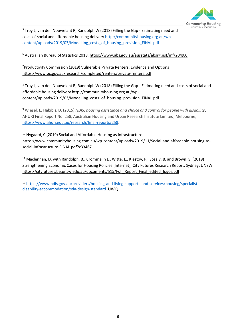

<sup>5</sup> Troy L, van den Nouwelant R, Randolph W (2018) Filling the Gap - Estimating need and costs of social and affordable housing delivery http://communityhousing.org.au/wpcontent/uploads/2019/03/Modelling\_costs\_of\_housing\_provision\_FINAL.pdf

<sup>6</sup> Australian Bureau of Statistics 2018,<https://www.abs.gov.au/ausstats/abs@.nsf/mf/2049.0>

<sup>7</sup>Productivity Commission (2019) Vulnerable Private Renters: Evidence and Options <https://www.pc.gov.au/research/completed/renters/private-renters.pdf>

<sup>8</sup> Troy L, van den Nouwelant R, Randolph W (2018) Filling the Gap - Estimating need and costs of social and affordable housing delivery http://communityhousing.org.au/wpcontent/uploads/2019/03/Modelling\_costs\_of\_housing\_provision\_FINAL.pdf

<sup>9</sup> Wiesel, I., Habibis, D. (2015) *NDIS, housing assistance and choice and control for people with disability*, AHURI Final Report No. 258, Australian Housing and Urban Research Institute Limited, Melbourne, [https://www.ahuri.edu.au/research/final-reports/258.](https://www.ahuri.edu.au/research/final-reports/258)

<sup>10</sup> Nygaard, C (2019) Social and Affordable Housing as Infrastructure https://www.communityhousing.com.au/wp-content/uploads/2019/11/Social-and-affordable-housing-associal-infrastructure-FINAL.pdf?x33467

<sup>11</sup> Maclennan, D. with Randolph, B., Crommelin L., Witte, E., Klestov, P., Scealy, B. and Brown, S. (2019) Strengthening Economic Cases for Housing Policies [Internet], City Futures Research Report. Sydney: UNSW [https://cityfutures.be.unsw.edu.au/documents/515/Full\\_Report\\_Final\\_edited\\_logos.pdf](https://cityfutures.be.unsw.edu.au/documents/515/Full_Report_Final_edited_logos.pdf)

<sup>12</sup> [https://www.ndis.gov.au/providers/housing-and-living-supports-and-services/housing/specialist](https://www.ndis.gov.au/providers/housing-and-living-supports-and-services/housing/specialist-disability-accommodation/sda-design-standard)[disability-accommodation/sda-design-standard](https://www.ndis.gov.au/providers/housing-and-living-supports-and-services/housing/specialist-disability-accommodation/sda-design-standard) UWQ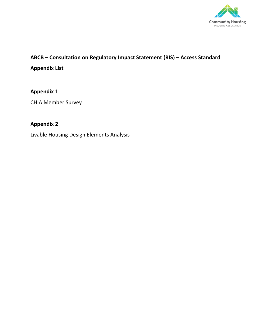

## **ABCB – Consultation on Regulatory Impact Statement (RIS) – Access Standard Appendix List**

## **Appendix 1**

CHIA Member Survey

## **Appendix 2**

Livable Housing Design Elements Analysis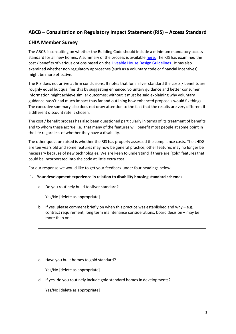## **ABCB – Consultation on Regulatory Impact Statement (RIS) – Access Standard**

## **CHIA Member Survey**

The ABCB is consulting on whether the Building Code should include a minimum mandatory access standard for all new homes. A summary of the process is availabl[e here.](https://consultation.abcb.gov.au/engagement/consult-ris-accessible-housing/user_uploads/accessible_housing_project_overview_timeline_and_ris_explained-2.pdf) The RIS has examined the cost / benefits of various options based on the [Liveable House Design Guidelines .](http://www.livablehousingaustralia.org.au/library/SLLHA_GuidelinesJuly2017FINAL4.pdf) It has also examined whether non regulatory approaches (such as a voluntary code or financial incentives) might be more effective.

The RIS does not arrive at firm conclusions. It notes that for a silver standard the costs / benefits are roughly equal but qualifies this by suggesting enhanced voluntary guidance and better consumer information might achieve similar outcomes; without it must be said explaining why voluntary guidance hasn't had much impact thus far and outlining how enhanced proposals would fix things. The executive summary also does not draw attention to the fact that the results are very different if a different discount rate is chosen.

The cost / benefit process has also been questioned particularly in terms of its treatment of benefits and to whom these accrue i.e. that many of the features will benefit most people at some point in the life regardless of whether they have a disability.

The other question raised is whether the RIS has properly assessed the compliance costs. The LHDG are ten years old and some features may now be general practice, other features may no longer be necessary because of new technologies. We are keen to understand if there are 'gold' features that could be incorporated into the code at little extra cost.

For our response we would like to get your feedback under four headings below:

- **1. Your development experience in relation to disability housing standard schemes**
	- a. Do you routinely build to silver standard?

Yes/No [delete as appropriate]

b. If yes, please comment briefly on when this practice was established and why – e.g. contract requirement, long term maintenance considerations, board decision – may be more than one

c. Have you built homes to gold standard?

Yes/No [delete as appropriate]

d. If yes, do you routinely include gold standard homes in developments?

Yes/No [delete as appropriate]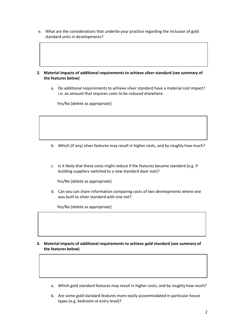- e. What are the considerations that underlie your practice regarding the inclusion of gold standard units in developments?
- **2. Material impacts of additional requirements to achieve** *silver* **standard (see summary of the features below)** 
	- a. Do additional requirements to achieve silver standard have a material cost impact? i.e. an amount that requires costs to be reduced elsewhere.

Yes/No [delete as appropriate]

- b. Which (if any) silver features may result in higher costs, and by roughly how much?
- c. Is it likely that these costs might reduce if the features became standard (e.g. if building suppliers switched to a new standard door size)?

Yes/No [delete as appropriate]

d. Can you can share information comparing costs of two developments where one was built to silver standard with one not?

Yes/No [delete as appropriate]

- **3. Material impacts of additional requirements to achieve** *gold* **standard (see summary of the features below)**
	- a. Which gold standard features may result in higher costs, and by roughly how much?
	- b. Are some gold standard features more easily accommodated in particular house types (e.g. bedroom at entry level)?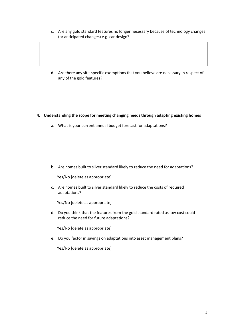- c. Are any gold standard features no longer necessary because of technology changes (or anticipated changes) e.g. car design?
- d. Are there any site-specific exemptions that you believe are necessary in respect of any of the gold features?
- **4. Understanding the scope for meeting changing needs through adapting existing homes** 
	- a. What is your current annual budget forecast for adaptations?

b. Are homes built to silver standard likely to reduce the need for adaptations?

Yes/No [delete as appropriate]

c. Are homes built to silver standard likely to reduce the costs of required adaptations?

Yes/No [delete as appropriate]

d. Do you think that the features from the gold standard rated as low cost could reduce the need for future adaptations?

Yes/No [delete as appropriate]

e. Do you factor in savings on adaptations into asset management plans?

Yes/No [delete as appropriate]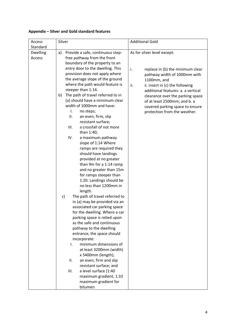## **Appendix – Silver and Gold standard features**

| Access                    | Silver                                                                                                                                                                                                                                                                                                                                                                                                                                                                                                                                                                                                                                                                                                                                                                                                                                                                                                                                                                                                                                                                                                                                                                                                                                                                                                                          | <b>Additional Gold</b>                                                                                                                                                                                                                                                                                                                      |  |  |
|---------------------------|---------------------------------------------------------------------------------------------------------------------------------------------------------------------------------------------------------------------------------------------------------------------------------------------------------------------------------------------------------------------------------------------------------------------------------------------------------------------------------------------------------------------------------------------------------------------------------------------------------------------------------------------------------------------------------------------------------------------------------------------------------------------------------------------------------------------------------------------------------------------------------------------------------------------------------------------------------------------------------------------------------------------------------------------------------------------------------------------------------------------------------------------------------------------------------------------------------------------------------------------------------------------------------------------------------------------------------|---------------------------------------------------------------------------------------------------------------------------------------------------------------------------------------------------------------------------------------------------------------------------------------------------------------------------------------------|--|--|
| Standard                  |                                                                                                                                                                                                                                                                                                                                                                                                                                                                                                                                                                                                                                                                                                                                                                                                                                                                                                                                                                                                                                                                                                                                                                                                                                                                                                                                 |                                                                                                                                                                                                                                                                                                                                             |  |  |
| <b>Dwelling</b><br>Access | Provide a safe, continuous step-<br>a)<br>free pathway from the front<br>boundary of the property to an<br>entry door to the dwelling. This<br>provision does not apply where<br>the average slope of the ground<br>where the path would feature is<br>steeper than 1:14.<br>The path of travel referred to in<br>b)<br>(a) should have a minimum clear<br>width of 1000mm and have:<br>Ι.<br>no steps;<br>ΙΙ.<br>an even, firm, slip<br>resistant surface;<br>a crossfall of not more<br>Ш.<br>than 1:40;<br>IV.<br>a maximum pathway<br>slope of 1:14 Where<br>ramps are required they<br>should have landings<br>provided at no greater<br>than 9m for a 1:14 ramp<br>and no greater than 15m<br>for ramps steeper than<br>1:20. Landings should be<br>no less than 1200mm in<br>length.<br>The path of travel referred to<br>$\mathsf{c}$<br>in (a) may be provided via an<br>associated car parking space<br>for the dwelling. Where a car<br>parking space is relied upon<br>as the safe and continuous<br>pathway to the dwelling<br>entrance, the space should<br>incorporate:<br>minimum dimensions of<br>I.<br>at least 3200mm (width)<br>x 5400mm (length);<br>an even, firm and slip<br>ΙΙ.<br>resistant surface; and<br>a level surface (1:40<br>III.<br>maximum gradient, 1:33<br>maximum gradient for<br>bitumen | As for silver level except:<br>i.<br>replace in (b) the minimum clear<br>pathway width of 1000mm with<br>1100mm, and<br>ii.<br>ii. insert in (c) the following<br>additional features: a. a vertical<br>clearance over the parking space<br>of at least 2500mm; and b. a<br>covered parking space to ensure<br>protection from the weather. |  |  |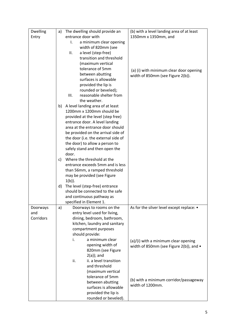| <b>Dwelling</b> | a) | The dwelling should provide an                                            | (b) with a level landing area of at least |  |
|-----------------|----|---------------------------------------------------------------------------|-------------------------------------------|--|
| Entry           |    | entrance door with                                                        | 1350mm x 1350mm, and                      |  |
|                 |    | a minimum clear opening<br>I.                                             |                                           |  |
|                 |    | width of 820mm (see                                                       |                                           |  |
|                 |    | a level (step-free)<br>ΙΙ.                                                |                                           |  |
|                 |    | transition and threshold                                                  |                                           |  |
|                 |    | (maximum vertical                                                         |                                           |  |
|                 |    | tolerance of 5mm                                                          | (a) (i) with minimum clear door opening   |  |
|                 |    | between abutting                                                          | width of 850mm (see Figure 2(b)).         |  |
|                 |    | surfaces is allowable                                                     |                                           |  |
|                 |    | provided the lip is                                                       |                                           |  |
|                 |    | rounded or beveled);                                                      |                                           |  |
|                 |    | III.<br>reasonable shelter from                                           |                                           |  |
|                 |    | the weather.                                                              |                                           |  |
|                 |    | b) A level landing area of at least                                       |                                           |  |
|                 |    | 1200mm x 1200mm should be                                                 |                                           |  |
|                 |    | provided at the level (step free)                                         |                                           |  |
|                 |    | entrance door. A level landing                                            |                                           |  |
|                 |    | area at the entrance door should                                          |                                           |  |
|                 |    | be provided on the arrival side of<br>the door (i.e. the external side of |                                           |  |
|                 |    | the door) to allow a person to                                            |                                           |  |
|                 |    | safely stand and then open the                                            |                                           |  |
|                 |    | door.                                                                     |                                           |  |
|                 | c) | Where the threshold at the                                                |                                           |  |
|                 |    | entrance exceeds 5mm and is less                                          |                                           |  |
|                 |    | than 56mm, a ramped threshold                                             |                                           |  |
|                 |    | may be provided (see Figure                                               |                                           |  |
|                 |    | $1(b)$ ).                                                                 |                                           |  |
|                 | d) | The level (step-free) entrance                                            |                                           |  |
|                 |    | should be connected to the safe                                           |                                           |  |
|                 |    | and continuous pathway as                                                 |                                           |  |
|                 |    | specified in Element 1.                                                   |                                           |  |
| Doorways        | a) | Doorways to rooms on the                                                  | As for the silver level except replace: • |  |
| and             |    | entry level used for living,                                              |                                           |  |
| Corridors       |    | dining, bedroom, bathroom,                                                |                                           |  |
|                 |    | kitchen, laundry and sanitary<br>compartment purposes                     |                                           |  |
|                 |    | should provide:                                                           |                                           |  |
|                 |    | a minimum clear<br>i.                                                     |                                           |  |
|                 |    | opening width of                                                          | (a)/(i) with a minimum clear opening      |  |
|                 |    | 820mm (see Figure                                                         | width of 850mm (see Figure 2(b)), and •   |  |
|                 |    | $2(a)$ ; and                                                              |                                           |  |
|                 |    | ii. a level transition<br>ii.                                             |                                           |  |
|                 |    | and threshold                                                             |                                           |  |
|                 |    | (maximum vertical                                                         |                                           |  |
|                 |    | tolerance of 5mm                                                          |                                           |  |
|                 |    | between abutting                                                          | (b) with a minimum corridor/passageway    |  |
|                 |    | surfaces is allowable                                                     | width of 1200mm.                          |  |
|                 |    | provided the lip is                                                       |                                           |  |
|                 |    | rounded or beveled).                                                      |                                           |  |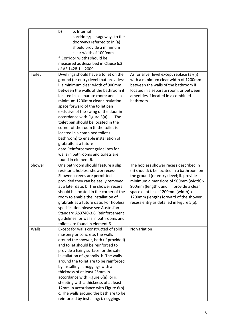|        | b)<br>b. Internal<br>corridors/passageways to the<br>doorways referred to in (a)<br>should provide a minimum<br>clear width of 1000mm.<br>* Corridor widths should be<br>measured as described in Clause 6.3<br>of AS 1428.1 - 2009                                                                                                                                                                                                                                                                                                                                                                                                               |                                                                                                                                                                                                                                                                                                                                                  |
|--------|---------------------------------------------------------------------------------------------------------------------------------------------------------------------------------------------------------------------------------------------------------------------------------------------------------------------------------------------------------------------------------------------------------------------------------------------------------------------------------------------------------------------------------------------------------------------------------------------------------------------------------------------------|--------------------------------------------------------------------------------------------------------------------------------------------------------------------------------------------------------------------------------------------------------------------------------------------------------------------------------------------------|
| Toilet | Dwellings should have a toilet on the<br>ground (or entry) level that provides:<br>i. a minimum clear width of 900mm<br>between the walls of the bathroom if<br>located in a separate room; and ii. a<br>minimum 1200mm clear circulation<br>space forward of the toilet pan<br>exclusive of the swing of the door in<br>accordance with Figure 3(a). iii. The<br>toilet pan should be located in the<br>corner of the room (if the toilet is<br>located in a combined toilet /<br>bathroom) to enable installation of<br>grabrails at a future<br>date.Reinforcement guidelines for<br>walls in bathrooms and toilets are<br>found in element 6. | As for silver level except replace (a)/(i)<br>with a minimum clear width of 1200mm<br>between the walls of the bathroom if<br>located in a separate room, or between<br>amenities if located in a combined<br>bathroom.                                                                                                                          |
| Shower | One bathroom should feature a slip<br>resistant, hobless shower recess.<br>Shower screens are permitted<br>provided they can be easily removed<br>at a later date. b. The shower recess<br>should be located in the corner of the<br>room to enable the installation of<br>grabrails at a future date. For hobless<br>specification please see Australian<br>Standard AS3740-3.6. Reinforcement<br>guidelines for walls in bathrooms and<br>toilets are found in element 6.                                                                                                                                                                       | The hobless shower recess described in<br>(a) should: i. be located in a bathroom on<br>the ground (or entry) level; ii. provide<br>minimum dimensions of 900mm (width) x<br>900mm (length); and iii. provide a clear<br>space of at least 1200mm (width) x<br>1200mm (length) forward of the shower<br>recess entry as detailed in Figure 5(a). |
| Walls  | Except for walls constructed of solid<br>masonry or concrete, the walls<br>around the shower, bath (if provided)<br>and toilet should be reinforced to<br>provide a fixing surface for the safe<br>installation of grabrails. b. The walls<br>around the toilet are to be reinforced<br>by installing: i. noggings with a<br>thickness of at least 25mm in<br>accordance with Figure 6(a); or ii.<br>sheeting with a thickness of at least<br>12mm in accordance with Figure 6(b).<br>c. The walls around the bath are to be<br>reinforced by installing: i. noggings                                                                             | No variation                                                                                                                                                                                                                                                                                                                                     |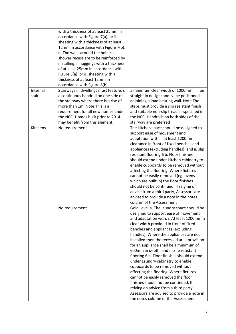|          | with a thickness of at least 25mm in     |                                                                            |
|----------|------------------------------------------|----------------------------------------------------------------------------|
|          | accordance with Figure 7(a); or ii.      |                                                                            |
|          | sheeting with a thickness of at least    |                                                                            |
|          | 12mm in accordance with Figure 7(b).     |                                                                            |
|          | d. The walls around the hobless          |                                                                            |
|          | shower recess are to be reinforced by    |                                                                            |
|          | installing: i. noggings with a thickness |                                                                            |
|          | of at least 25mm in accordance with      |                                                                            |
|          | Figure 8(a); or ii. sheeting with a      |                                                                            |
|          | thickness of at least 12mm in            |                                                                            |
|          |                                          |                                                                            |
|          | accordance with Figure 8(b).             |                                                                            |
| Internal | Stairways in dwellings must feature: i.  | a minimum clear width of 1000mm; iii. be                                   |
| stairs   | a continuous handrail on one side of     | straight in design; and iv. be positioned                                  |
|          | the stairway where there is a rise of    | adjoining a load bearing wall. Note The                                    |
|          | more than 1m. Note This is a             | steps must provide a slip resistant finish                                 |
|          | requirement for all new homes under      | and suitable non-slip tread as specified in                                |
|          | the NCC. Homes built prior to 2014       | the NCC. Handrails on both sides of the                                    |
|          | may benefit from this element.           | stairway are preferred                                                     |
| Kitchens | No requirement                           | The kitchen space should be designed to                                    |
|          |                                          | support ease of movement and                                               |
|          |                                          | adaptation with: i. at least 1200mm                                        |
|          |                                          | clearance in front of fixed benches and                                    |
|          |                                          | appliances (excluding handles); and ii. slip                               |
|          |                                          | resistant flooring.6 b. Floor finishes                                     |
|          |                                          | should extend under kitchen cabinetry to                                   |
|          |                                          | enable cupboards to be removed without                                     |
|          |                                          | affecting the flooring. Where fixtures                                     |
|          |                                          | cannot be easily removed (eg. ovens                                        |
|          |                                          | which are built in) the floor finishes                                     |
|          |                                          | should not be continued. If relying on                                     |
|          |                                          | advice from a third party, Assessors are                                   |
|          |                                          | advised to provide a note in the notes                                     |
|          |                                          | column of the Assessment                                                   |
|          | No requirement                           | Gold Level a. The laundry space should be                                  |
|          |                                          | designed to support ease of movement                                       |
|          |                                          | and adaptation with: i. At least 1200mmm                                   |
|          |                                          | clear width provided in front of fixed                                     |
|          |                                          | benches and appliances (excluding                                          |
|          |                                          | handles). Where the appliances are not                                     |
|          |                                          | installed then the recessed area provision                                 |
|          |                                          | for an appliance shall be a minimum of                                     |
|          |                                          | 600mm in depth; and ii. Slip resistant                                     |
|          |                                          | flooring.6 b. Floor finishes should extend                                 |
|          |                                          | under Laundry cabinetry to enable                                          |
|          |                                          | cupboards to be removed without                                            |
|          |                                          | affecting the flooring. Where fixtures                                     |
|          |                                          |                                                                            |
|          |                                          | cannot be easily removed the floor<br>finishes should not be continued. If |
|          |                                          |                                                                            |
|          |                                          | relying on advice from a third party,                                      |
|          |                                          | Assessors are advised to provide a note in                                 |
|          |                                          | the notes column of the Assessment                                         |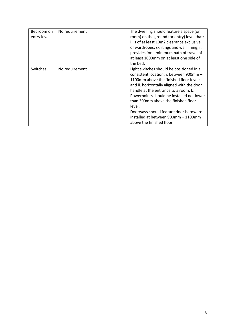| Bedroom on<br>entry level | No requirement | The dwelling should feature a space (or<br>room) on the ground (or entry) level that:<br>i. is of at least 10m2 clearance exclusive<br>of wardrobes; skirtings and wall lining; ii.<br>provides for a minimum path of travel of<br>at least 1000mm on at least one side of<br>the bed.                            |
|---------------------------|----------------|-------------------------------------------------------------------------------------------------------------------------------------------------------------------------------------------------------------------------------------------------------------------------------------------------------------------|
| Switches                  | No requirement | Light switches should be positioned in a<br>consistent location: i. between 900mm -<br>1100mm above the finished floor level;<br>and ii. horizontally aligned with the door<br>handle at the entrance to a room, b.<br>Powerpoints should be installed not lower<br>than 300mm above the finished floor<br>level. |
|                           |                | Doorways should feature door hardware<br>installed at between 900mm - 1100mm<br>above the finished floor.                                                                                                                                                                                                         |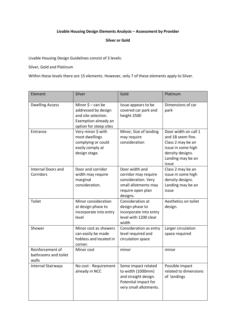## **Livable Housing Design Elements Analysis – Assessment by Provider**

#### **Silver or Gold**

Livable Housing Design Guidelines consist of 3 levels:

Silver, Gold and Platinum

Within these levels there are 15 elements. However, only 7 of these elements apply to Silver.

| Element                                           | Silver                                                                                                                 | Gold                                                                                                                   | Platinum                                                                                                                               |
|---------------------------------------------------|------------------------------------------------------------------------------------------------------------------------|------------------------------------------------------------------------------------------------------------------------|----------------------------------------------------------------------------------------------------------------------------------------|
| <b>Dwelling Access</b>                            | Minor $\zeta$ – can be<br>addressed by design<br>and site selection.<br>Exemption already an<br>option for steep sites | Issue appears to be<br>covered car park and<br>height 2500                                                             | Dimensions of car<br>park                                                                                                              |
| Entrance                                          | Very minor \$ with<br>most dwellings<br>complying or could<br>easily comply at<br>design stage.                        | Minor, Size of landing<br>may require<br>consideration                                                                 | Door width on call 1<br>and 1B seem fine.<br>Class 2 may be an<br>issue in some high<br>density designs.<br>Landing may be an<br>issue |
| <b>Internal Doors and</b><br>Corridors            | Door and corridor<br>width may require<br>marginal<br>consideration.                                                   | Door width and<br>corridor may require<br>consideration. Very<br>small allotments may<br>require open plan<br>designs. | Class 2 may be an<br>issue in some high<br>density designs.<br>Landing may be an<br>issue                                              |
| Toilet                                            | Minor consideration<br>at design phase to<br>incorporate into entry<br>level                                           | Consideration at<br>design phase to<br>incorporate into entry<br>level with 1200 clear<br>width                        | Aesthetics on toilet<br>design.                                                                                                        |
| Shower                                            | Minor cost as showers<br>can easily be made<br>hobless and located in<br>corner.                                       | Consideration as entry<br>level required and<br>circulation space                                                      | Larger circulation<br>space required                                                                                                   |
| Reinforcement of<br>bathrooms and toilet<br>walls | Minor cost                                                                                                             | minor                                                                                                                  | minor                                                                                                                                  |
| <b>Internal Stairways</b>                         | No cost - Requirement<br>already in NCC                                                                                | Some impact related<br>to width (1000mm)<br>and straight design.<br>Potential impact for<br>very small allotments.     | Possible impact<br>related to dimensions<br>of landings                                                                                |